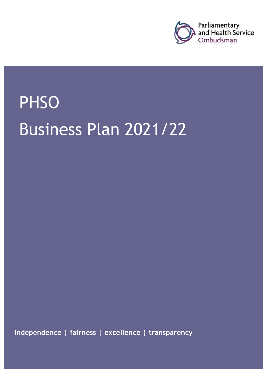

# **PHSO** Business Plan 2021/22

**independence ¦ fairness ¦ excellence ¦ transparency**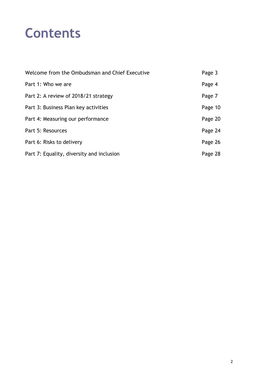## **Contents**

| Welcome from the Ombudsman and Chief Executive | Page 3  |
|------------------------------------------------|---------|
| Part 1: Who we are                             | Page 4  |
| Part 2: A review of 2018/21 strategy           | Page 7  |
| Part 3: Business Plan key activities           | Page 10 |
| Part 4: Measuring our performance              | Page 20 |
| Part 5: Resources                              | Page 24 |
| Part 6: Risks to delivery                      | Page 26 |
| Part 7: Equality, diversity and inclusion      | Page 28 |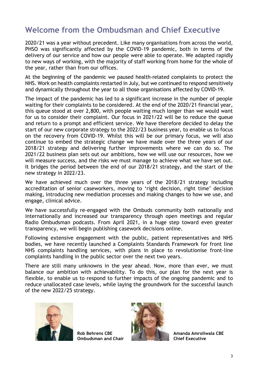## **Welcome from the Ombudsman and Chief Executive**

2020/21 was a year without precedent. Like many organisations from across the world, PHSO was significantly affected by the COVID-19 pandemic, both in terms of the delivery of our service and how our people were able to operate. We adapted rapidly to new ways of working, with the majority of staff working from home for the whole of the year, rather than from our offices.

At the beginning of the pandemic we paused health-related complaints to protect the NHS. Work on health complaints restarted in July, but we continued to respond sensitively and dynamically throughout the year to all those organisations affected by COVID-19.

The impact of the pandemic has led to a significant increase in the number of people waiting for their complaints to be considered. At the end of the 2020/21 financial year, this queue stood at over 2,800, with people waiting much longer than we would want for us to consider their complaint. Our focus in 2021/22 will be to reduce the queue and return to a prompt and efficient service. We have therefore decided to delay the start of our new corporate strategy to the 2022/23 business year, to enable us to focus on the recovery from COVID-19. Whilst this will be our primary focus, we will also continue to embed the strategic change we have made over the three years of our 2018/21 strategy and delivering further improvements where we can do so. The 2021/22 business plan sets out our ambitions, how we will use our resources, how we will measure success, and the risks we must manage to achieve what we have set out. It bridges the period between the end of our 2018/21 strategy, and the start of the new strategy in 2022/23.

We have achieved much over the three years of the 2018/21 strategy including accreditation of senior caseworkers, moving to 'right decision, right time' decision making, introducing new mediation processes and making changes to how we use, and engage, clinical advice.

We have successfully re-engaged with the Ombuds community both nationally and internationally and increased our transparency through open meetings and regular Radio Ombudsman podcasts. From April 2021, in a huge step toward even greater transparency, we will begin publishing casework decisions online.

Following extensive engagement with the public, patient representatives and NHS bodies, we have recently launched a Complaints Standards Framework for front line NHS complaints handling services, with plans in place to revolutionise front-line complaints handling in the public sector over the next two years.

There are still many unknowns in the year ahead. Now, more than ever, we must balance our ambition with achievability. To do this, our plan for the next year is flexible, to enable us to respond to further impacts of the ongoing pandemic and to reduce unallocated case levels, while laying the groundwork for the successful launch of the new 2022/25 strategy.



**Ombudsman and Chair** 



Rob Behrens CBE **Amanda Amroliwala CBE** Amanda Amroliwala CBE Amanda Amroliwala CBE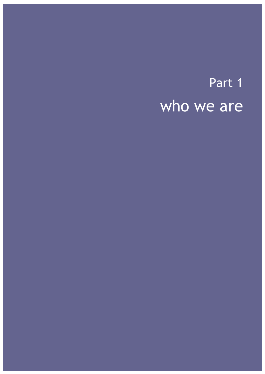## Part 1 who we are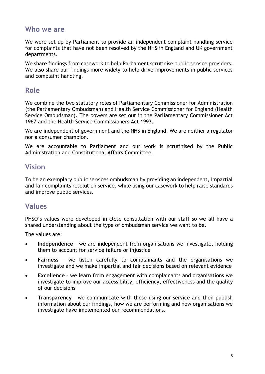#### **Who we are**

We were set up by Parliament to provide an independent complaint handling service for complaints that have not been resolved by the NHS in England and UK government departments.

We share findings from casework to help Parliament scrutinise public service providers. We also share our findings more widely to help drive improvements in public services and complaint handling.

### **Role**

We combine the two statutory roles of Parliamentary Commissioner for Administration (the Parliamentary Ombudsman) and Health Service Commissioner for England (Health Service Ombudsman). The powers are set out in the Parliamentary Commissioner Act 1967 and the Health Service Commissioners Act 1993.

We are independent of government and the NHS in England. We are neither a regulator nor a consumer champion.

We are accountable to Parliament and our work is scrutinised by the Public Administration and Constitutional Affairs Committee.

### **Vision**

To be an exemplary public services ombudsman by providing an independent, impartial and fair complaints resolution service, while using our casework to help raise standards and improve public services.

### **Values**

PHSO's values were developed in close consultation with our staff so we all have a shared understanding about the type of ombudsman service we want to be.

The values are:

- **Independence**  we are independent from organisations we investigate, holding them to account for service failure or injustice
- **Fairness**  we listen carefully to complainants and the organisations we investigate and we make impartial and fair decisions based on relevant evidence
- **Excellence** we learn from engagement with complainants and organisations we investigate to improve our accessibility, efficiency, effectiveness and the quality of our decisions
- **Transparency**  we communicate with those using our service and then publish information about our findings, how we are performing and how organisations we investigate have implemented our recommendations.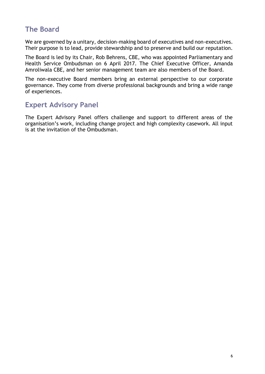## **The Board**

We are governed by a unitary, decision-making board of executives and non-executives. Their purpose is to lead, provide stewardship and to preserve and build our reputation.

The Board is led by its Chair, Rob Behrens, CBE, who was appointed Parliamentary and Health Service Ombudsman on 6 April 2017. The Chief Executive Officer, Amanda Amroliwala CBE, and her senior management team are also members of the Board.

The non-executive Board members bring an external perspective to our corporate governance. They come from diverse professional backgrounds and bring a wide range of experiences.

### **Expert Advisory Panel**

The Expert Advisory Panel offers challenge and support to different areas of the organisation's work, including change project and high complexity casework. All input is at the invitation of the Ombudsman.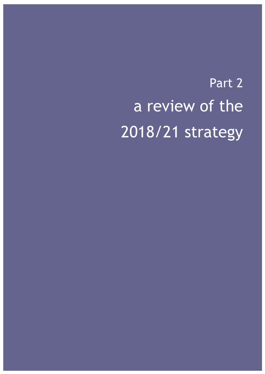# Part 2 a review of the 2018/21 strategy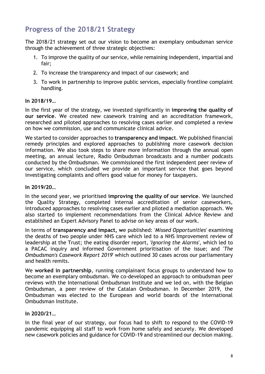## **Progress of the 2018/21 Strategy**

The 2018/21 strategy set out our vision to become an exemplary ombudsman service through the achievement of three strategic objectives:

- 1. To improve the quality of our service, while remaining independent, impartial and fair;
- 2. To increase the transparency and impact of our casework; and
- 3. To work in partnership to improve public services, especially frontline complaint handling.

#### **In 2018/19…**

In the first year of the strategy, we invested significantly in **improving the quality of our service**. We created new casework training and an accreditation framework, researched and piloted approaches to resolving cases earlier and completed a review on how we commission, use and communicate clinical advice.

We started to consider approaches to **transparency and impact**. We published financial remedy principles and explored approaches to publishing more casework decision information. We also took steps to share more information through the annual open meeting, an annual lecture, Radio Ombudsman broadcasts and a number podcasts conducted by the Ombudsman. We commissioned the first independent peer review of our service, which concluded we provide an important service that goes beyond investigating complaints and offers good value for money for taxpayers.

#### **In 2019/20…**

In the second year, we prioritised **improving the quality of our service**. We launched the Quality Strategy, completed internal accreditation of senior caseworkers, introduced approaches to resolving cases earlier and piloted a mediation approach. We also started to implement recommendations from the Clinical Advice Review and established an Expert Advisory Panel to advise on key areas of our work.

In terms of **transparency and impact, w**e published: '*Missed Opportunities*' examining the deaths of two people under NHS care which led to a NHS Improvement review of leadership at the Trust; the eating disorder report, '*Ignoring the Alarms*', which led to a PACAC inquiry and informed Government prioritisation of the issue; and '*The Ombudsman's Casework Report 2019*' which outlined 30 cases across our parliamentary and health remits.

We **worked in partnership**, running complainant focus groups to understand how to become an exemplary ombudsman. We co-developed an approach to ombudsman peer reviews with the International Ombudsman Institute and we led on, with the Belgian Ombudsman, a peer review of the Catalan Ombudsman. In December 2019, the Ombudsman was elected to the European and world boards of the International Ombudsman Institute.

#### **In 2020/21…**

In the final year of our strategy, our focus had to shift to respond to the COVID-19 pandemic equipping all staff to work from home safely and securely. We developed new casework policies and guidance for COVID-19 and streamlined our decision making.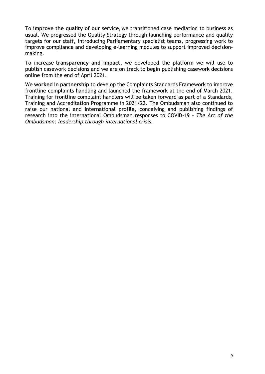To **improve the quality of our** service, we transitioned case mediation to business as usual. We progressed the Quality Strategy through launching performance and quality targets for our staff, introducing Parliamentary specialist teams, progressing work to improve compliance and developing e-learning modules to support improved decisionmaking.

To increase **transparency and impact**, we developed the platform we will use to publish casework decisions and we are on track to begin publishing casework decisions online from the end of April 2021.

We **worked in partnership** to develop the Complaints Standards Framework to improve frontline complaints handling and launched the framework at the end of March 2021. Training for frontline complaint handlers will be taken forward as part of a Standards, Training and Accreditation Programme in 2021/22. The Ombudsman also continued to raise our national and international profile, conceiving and publishing findings of research into the international Ombudsman responses to COVID-19 - *The Art of the Ombudsman: leadership through international crisis*.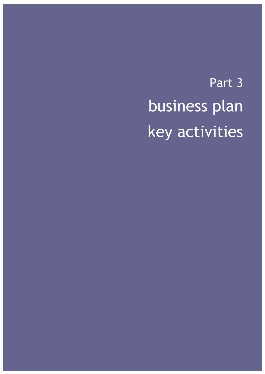Part 3 business plan key activities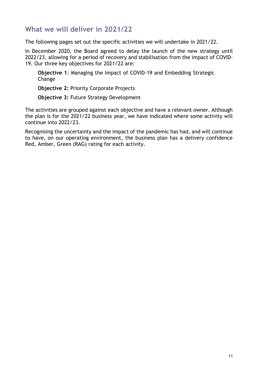### **What we will deliver in 2021/22**

The following pages set out the specific activities we will undertake in 2021/22.

In December 2020, the Board agreed to delay the launch of the new strategy until 2022/23, allowing for a period of recovery and stabilisation from the impact of COVID-19. Our three key objectives for 2021/22 are:

**Objective 1**: Managing the Impact of COVID-19 and Embedding Strategic Change

**Objective 2:** Priority Corporate Projects

**Objective 3:** Future Strategy Development

The activities are grouped against each objective and have a relevant owner. Although the plan is for the 2021/22 business year, we have indicated where some activity will continue into 2022/23.

Recognising the uncertainty and the impact of the pandemic has had, and will continue to have, on our operating environment, the business plan has a delivery confidence Red, Amber, Green (RAG) rating for each activity.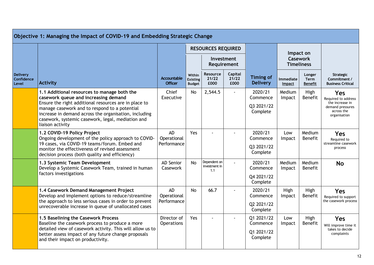|                                        | Objective 1: Managing the Impact of COVID-19 and Embedding Strategic Change                                                                                                                                                                                                                                                     |                                      |                                            |                                      |                           |                                                  |                     |                                         |                                                                                                        |
|----------------------------------------|---------------------------------------------------------------------------------------------------------------------------------------------------------------------------------------------------------------------------------------------------------------------------------------------------------------------------------|--------------------------------------|--------------------------------------------|--------------------------------------|---------------------------|--------------------------------------------------|---------------------|-----------------------------------------|--------------------------------------------------------------------------------------------------------|
|                                        |                                                                                                                                                                                                                                                                                                                                 |                                      |                                            | <b>RESOURCES REQUIRED</b>            |                           |                                                  | Impact on           |                                         |                                                                                                        |
|                                        |                                                                                                                                                                                                                                                                                                                                 |                                      |                                            |                                      | Investment<br>Requirement |                                                  |                     | <b>Casework</b><br><b>Timeliness</b>    |                                                                                                        |
| <b>Delivery</b><br>Confidence<br>Level | <b>Activity</b>                                                                                                                                                                                                                                                                                                                 | <b>Accountable</b><br><b>Officer</b> | Within<br><b>Existing</b><br><b>Budget</b> | <b>Resource</b><br>21/22<br>£000     | Capital<br>21/22<br>£000  | <b>Timing of</b><br><b>Delivery</b>              | Immediate<br>Impact | Longer<br><b>Term</b><br><b>Benefit</b> | Strategic<br>Commitment /<br><b>Business Critical</b>                                                  |
|                                        | 1.1 Additional resources to manage both the<br>casework queue and increasing demand<br>Ensure the right additional resources are in place to<br>manage casework and to respond to a potential<br>increase in demand across the organisation, including<br>casework, systemic casework, legal, mediation and<br>liaison activity | Chief<br>Executive                   | <b>No</b>                                  | 2,544.5                              | ÷.                        | 2020/21<br>Commence<br>Q3 2021/22<br>Complete    | Medium<br>Impact    | High<br>Benefit                         | <b>Yes</b><br>Required to address<br>the increase in<br>demand pressures<br>across the<br>organisation |
|                                        | 1.2 COVID-19 Policy Project<br>Ongoing development of the policy approach to COVID-<br>19 cases, via COVID-19 teams/forum. Embed and<br>monitor the effectiveness of revised assessment<br>decision process (both quality and efficiency)                                                                                       | AD<br>Operational<br>Performance     | Yes                                        |                                      |                           | 2020/21<br>Commence<br>Q3 2021/22<br>Complete    | Low<br>Impact       | Medium<br>Benefit                       | <b>Yes</b><br>Required to<br>streamline casework<br>process                                            |
|                                        | 1.3 Systemic Team Development<br>Develop a Systemic Casework Team, trained in human<br>factors investigations                                                                                                                                                                                                                   | <b>AD Senior</b><br>Casework         | No                                         | Dependent on<br>investment in<br>1.1 | $\overline{a}$            | 2020/21<br>Commence<br>Q4 2021/22<br>Complete    | Medium<br>Impact    | Medium<br><b>Benefit</b>                | <b>No</b>                                                                                              |
|                                        | 1.4 Casework Demand Management Project<br>Develop and implement options to reduce/streamline<br>the approach to less serious cases in order to prevent<br>unrecoverable increase in queue of unallocated cases                                                                                                                  | AD<br>Operational<br>Performance     | <b>No</b>                                  | 66.7                                 |                           | 2020/21<br>Commence<br>Q2 2021/22<br>Complete    | High<br>Impact      | High<br>Benefit                         | Yes<br>Required to support<br>the casework process                                                     |
|                                        | 1.5 Baselining the Casework Process<br>Baseline the casework process to produce a more<br>detailed view of casework activity. This will allow us to<br>better assess impact of any future change proposals<br>and their impact on productivity.                                                                                 | Director of<br><b>Operations</b>     | Yes                                        |                                      |                           | Q1 2021/22<br>Commence<br>Q1 2021/22<br>Complete | Low<br>Impact       | High<br>Benefit                         | <b>Yes</b><br>Will improve time it<br>takes to decide<br>complaints                                    |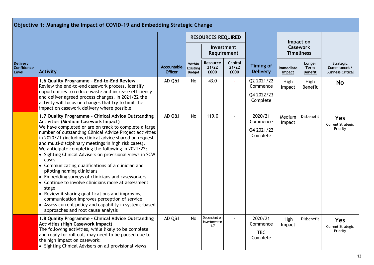|                                        | Objective 1: Managing the Impact of COVID-19 and Embedding Strategic Change                                                                                                                                                                                                                                                                                                                                                                                                                                                                                                                                                                                                                                                                                                                                                                                                       |                                      |                                            |                                      |                           |                                                  |                            |                                                   |                                                       |
|----------------------------------------|-----------------------------------------------------------------------------------------------------------------------------------------------------------------------------------------------------------------------------------------------------------------------------------------------------------------------------------------------------------------------------------------------------------------------------------------------------------------------------------------------------------------------------------------------------------------------------------------------------------------------------------------------------------------------------------------------------------------------------------------------------------------------------------------------------------------------------------------------------------------------------------|--------------------------------------|--------------------------------------------|--------------------------------------|---------------------------|--------------------------------------------------|----------------------------|---------------------------------------------------|-------------------------------------------------------|
|                                        |                                                                                                                                                                                                                                                                                                                                                                                                                                                                                                                                                                                                                                                                                                                                                                                                                                                                                   |                                      |                                            | <b>RESOURCES REQUIRED</b>            | Investment<br>Requirement |                                                  |                            | Impact on<br><b>Casework</b><br><b>Timeliness</b> |                                                       |
| <b>Delivery</b><br>Confidence<br>Level | <b>Activity</b>                                                                                                                                                                                                                                                                                                                                                                                                                                                                                                                                                                                                                                                                                                                                                                                                                                                                   | <b>Accountable</b><br><b>Officer</b> | Within<br><b>Existing</b><br><b>Budget</b> | <b>Resource</b><br>21/22<br>£000     | Capital<br>21/22<br>£000  | <b>Timing of</b><br><b>Delivery</b>              | <b>Immediate</b><br>Impact | Longer<br><b>Term</b><br><b>Benefit</b>           | Strategic<br>Commitment /<br><b>Business Critical</b> |
|                                        | 1.6 Quality Programme - End-to-End Review<br>Review the end-to-end casework process, identify<br>opportunities to reduce waste and increase efficiency<br>and deliver agreed process changes. In 2021/22 the<br>activity will focus on changes that try to limit the<br>impact on casework delivery where possible                                                                                                                                                                                                                                                                                                                                                                                                                                                                                                                                                                | AD Q&I                               | No                                         | 43.0                                 |                           | Q2 2021/22<br>Commence<br>Q4 2022/23<br>Complete | High<br>Impact             | High<br>Benefit                                   | <b>No</b>                                             |
|                                        | 1.7 Quality Programme - Clinical Advice Outstanding<br><b>Activities (Medium Casework Impact)</b><br>We have completed or are on track to complete a large<br>number of outstanding Clinical Advice Project activities<br>in 2020/21 (including clinical advice shared on request<br>and multi-disciplinary meetings in high risk cases).<br>We anticipate completing the following in 2021/22:<br>• Sighting Clinical Advisers on provisional views in SCW<br>cases<br>• Communicating qualifications of a clinician and<br>piloting naming clinicians<br>• Embedding surveys of clinicians and caseworkers<br>• Continue to involve clinicians more at assessment<br>stage<br>• Review if sharing qualifications and improving<br>communication improves perception of service<br>• Assess current policy and capability in systems-based<br>approaches and root cause analysis | AD Q&I                               | No                                         | 119.0                                |                           | 2020/21<br>Commence<br>Q4 2021/22<br>Complete    | Medium<br>Impact           | Disbenefit                                        | <b>Yes</b><br><b>Current Strategic</b><br>Priority    |
|                                        | 1.8 Quality Programme - Clinical Advice Outstanding<br><b>Activities (High Casework Impact)</b><br>The following activities, while likely to be complete<br>and ready for roll out, may need to be paused due to<br>the high impact on casework:<br>• Sighting Clinical Advisers on all provisional views                                                                                                                                                                                                                                                                                                                                                                                                                                                                                                                                                                         | AD Q&I                               | <b>No</b>                                  | Dependent on<br>investment in<br>1.7 | $\blacksquare$            | 2020/21<br>Commence<br><b>TBC</b><br>Complete    | High<br>Impact             | Disbenefit                                        | Yes<br><b>Current Strategic</b><br>Priority           |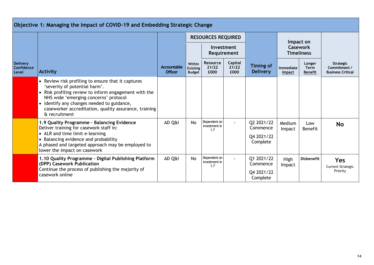|                                               | Objective 1: Managing the Impact of COVID-19 and Embedding Strategic Change                                                                                                                                                                                                                                   |                               |                                            |                                      |                          |                                                  |                            |                                      |                                                              |
|-----------------------------------------------|---------------------------------------------------------------------------------------------------------------------------------------------------------------------------------------------------------------------------------------------------------------------------------------------------------------|-------------------------------|--------------------------------------------|--------------------------------------|--------------------------|--------------------------------------------------|----------------------------|--------------------------------------|--------------------------------------------------------------|
|                                               |                                                                                                                                                                                                                                                                                                               |                               |                                            | <b>RESOURCES REQUIRED</b>            |                          |                                                  | Impact on                  |                                      |                                                              |
|                                               |                                                                                                                                                                                                                                                                                                               |                               |                                            | Investment                           | Requirement              |                                                  |                            | <b>Casework</b><br><b>Timeliness</b> |                                                              |
| <b>Delivery</b><br><b>Confidence</b><br>Level | <b>Activity</b>                                                                                                                                                                                                                                                                                               | Accountable<br><b>Officer</b> | Within<br><b>Existing</b><br><b>Budget</b> | <b>Resource</b><br>21/22<br>£000     | Capital<br>21/22<br>£000 | <b>Timing of</b><br><b>Delivery</b>              | Immediate<br><b>Impact</b> | Longer<br>Term<br><b>Benefit</b>     | <b>Strategic</b><br>Commitment /<br><b>Business Critical</b> |
|                                               | • Review risk profiling to ensure that it captures<br>'severity of potential harm'.<br>• Risk profiling review to inform engagement with the<br>NHS wide 'emerging concerns' protocol<br>• Identify any changes needed to guidance,<br>caseworker accreditation, quality assurance, training<br>& recruitment |                               |                                            |                                      |                          |                                                  |                            |                                      |                                                              |
|                                               | 1.9 Quality Programme - Balancing Evidence<br>Deliver training for casework staff in:<br>• ALR and time limit e-learning<br>• Balancing evidence and probability<br>A phased and targeted approach may be employed to<br>lower the impact on casework                                                         | AD Q&I                        | No.                                        | Dependent on<br>investment in<br>1.7 |                          | Q2 2021/22<br>Commence<br>Q4 2021/22<br>Complete | Medium<br>Impact           | Low<br><b>Benefit</b>                | <b>No</b>                                                    |
|                                               | 1.10 Quality Programme - Digital Publishing Platform<br>(DPP) Casework Publication<br>Continue the process of publishing the majority of<br>casework online                                                                                                                                                   | AD Q&I                        | No                                         | Dependent on<br>investment in<br>1.7 |                          | Q1 2021/22<br>Commence<br>Q4 2021/22<br>Complete | High<br>Impact             | <b>Disbenefit</b>                    | <b>Yes</b><br><b>Current Strategic</b><br>Priority           |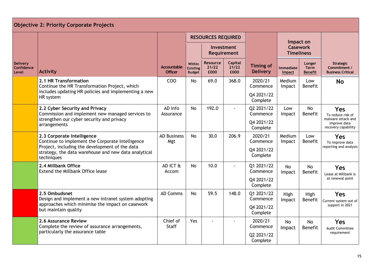|                                               | <b>Objective 2: Priority Corporate Projects</b>                                                                      |                                      |                                            |                                  |                                  |                                     |                            |                                         |                                                              |
|-----------------------------------------------|----------------------------------------------------------------------------------------------------------------------|--------------------------------------|--------------------------------------------|----------------------------------|----------------------------------|-------------------------------------|----------------------------|-----------------------------------------|--------------------------------------------------------------|
|                                               |                                                                                                                      |                                      |                                            | <b>RESOURCES REQUIRED</b>        |                                  |                                     |                            | Impact on                               |                                                              |
|                                               |                                                                                                                      |                                      |                                            |                                  | Investment<br><b>Requirement</b> |                                     |                            | <b>Casework</b><br><b>Timeliness</b>    |                                                              |
| <b>Delivery</b><br><b>Confidence</b><br>Level | <b>Activity</b>                                                                                                      | <b>Accountable</b><br><b>Officer</b> | Within<br><b>Existing</b><br><b>Budget</b> | <b>Resource</b><br>21/22<br>£000 | <b>Capital</b><br>21/22<br>£000  | <b>Timing of</b><br><b>Delivery</b> | <b>Immediate</b><br>Impact | Longer<br><b>Term</b><br><b>Benefit</b> | <b>Strategic</b><br>Commitment /<br><b>Business Critical</b> |
|                                               | 2.1 HR Transformation<br>Continue the HR Transformation Project, which                                               | COO                                  | <b>No</b>                                  | 69.0                             | 368.0                            | 2020/21<br>Commence                 | Medium<br>Impact           | Low<br><b>Benefit</b>                   | <b>No</b>                                                    |
|                                               | includes updating HR policies and implementing a new<br>HR system                                                    |                                      |                                            |                                  |                                  | Q4 2021/22<br>Complete              |                            |                                         |                                                              |
|                                               | 2.2 Cyber Security and Privacy<br>Commission and implement new managed services to                                   | AD Info<br>Assurance                 | <b>No</b>                                  | 192.0                            | $\overline{a}$                   | Q2 2021/22<br>Commence              | Low<br>Impact              | <b>No</b><br>Benefit                    | <b>Yes</b><br>To reduce risk of<br>malware attack and        |
|                                               | strengthen our cyber security and privacy<br>arrangements                                                            |                                      |                                            |                                  |                                  | Q4 2021/22<br>Complete              |                            |                                         | improve data<br>recovery capability                          |
|                                               | 2.3 Corporate Intelligence<br>Continue to implement the Corporate Intelligence                                       | <b>AD Business</b><br>Mgt            | No.                                        | 30.0                             | 206.9                            | 2020/21<br>Commence                 | Medium<br>Impact           | Low<br><b>Benefit</b>                   | Yes<br>To improve data                                       |
|                                               | Project, including the development of the data<br>strategy, the data warehouse and new data analytical<br>techniques |                                      |                                            |                                  |                                  | Q4 2021/22<br>Complete              |                            |                                         | reporting and analysis                                       |
|                                               | 2.4 Millbank Office<br>Extend the Millbank Office lease                                                              | AD ICT &<br>Accom                    | <b>No</b>                                  | 10.0                             | $\blacksquare$                   | 01 2021/22<br>Commence              | No<br>Impact               | No<br>Benefit                           | Yes<br>Lease at Millbank is                                  |
|                                               |                                                                                                                      |                                      |                                            |                                  |                                  | Q4 2021/22<br>Complete              |                            |                                         | at renewal point                                             |
|                                               | 2.5 Ombudsnet<br>Design and implement a new intranet system adopting                                                 | <b>AD Comms</b>                      | N <sub>0</sub>                             | 59.5                             | 148.0                            | Q1 2021/22<br>Commence              | High<br>Impact             | High<br>Benefit                         | <b>Yes</b><br>Current system out of                          |
|                                               | approaches which minimise the impact on casework<br>but maintain quality                                             |                                      |                                            |                                  |                                  | Q4 2021/22<br>Complete              |                            |                                         | support in 2021                                              |
|                                               | 2.6 Assurance Review<br>Complete the review of assurance arrangements,                                               | Chief of<br><b>Staff</b>             | Yes                                        |                                  |                                  | 2020/21<br>Commence                 | <b>No</b><br>Impact        | <b>No</b><br>Benefit                    | <b>Yes</b><br><b>Audit Committee</b>                         |
|                                               | particularly the assurance table                                                                                     |                                      |                                            |                                  |                                  | Q2 2021/22<br>Complete              |                            |                                         | requirement                                                  |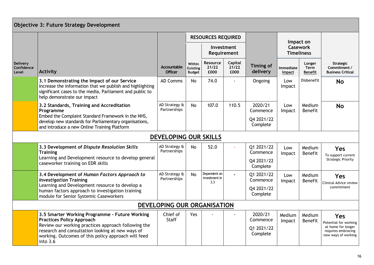|                                        | Objective 3: Future Strategy Development                                                                                                                                                                                                                         |                               |                                            |                                      |                          |                                               |                            |                                      |                                                                                                 |
|----------------------------------------|------------------------------------------------------------------------------------------------------------------------------------------------------------------------------------------------------------------------------------------------------------------|-------------------------------|--------------------------------------------|--------------------------------------|--------------------------|-----------------------------------------------|----------------------------|--------------------------------------|-------------------------------------------------------------------------------------------------|
|                                        |                                                                                                                                                                                                                                                                  |                               |                                            | <b>RESOURCES REQUIRED</b>            |                          |                                               |                            | Impact on                            |                                                                                                 |
|                                        |                                                                                                                                                                                                                                                                  |                               |                                            | Investment<br>Requirement            |                          |                                               |                            | <b>Casework</b><br><b>Timeliness</b> |                                                                                                 |
| <b>Delivery</b><br>Confidence<br>Level | <b>Activity</b>                                                                                                                                                                                                                                                  | Accountable<br><b>Officer</b> | Within<br><b>Existing</b><br><b>Budget</b> | <b>Resource</b><br>21/22<br>£000     | Capital<br>21/22<br>£000 | <b>Timing of</b><br>delivery                  | Immediate<br><b>Impact</b> | Longer<br>Term<br><b>Benefit</b>     | Strategic<br>Commitment /<br><b>Business Critical</b>                                           |
|                                        | 3.1 Demonstrating the Impact of our Service<br>Increase the information that we publish and highlighting<br>significant cases to the media, Parliament and public to<br>help demonstrate our impact                                                              | <b>AD Comms</b>               | No.                                        | 74.0                                 |                          | Ongoing                                       | Low<br>Impact              | Disbenefit                           | <b>No</b>                                                                                       |
|                                        | 3.2 Standards, Training and Accreditation<br>Programme<br>Embed the Complaint Standard Framework in the NHS,<br>develop new standards for Parliamentary organisations,<br>and introduce a new Online Training Platform                                           | AD Strategy &<br>Partnerships | <b>No</b>                                  | 107.0                                | 110.5                    | 2020/21<br>Commence<br>Q4 2021/22<br>Complete | Low<br>Impact              | Medium<br><b>Benefit</b>             | <b>No</b>                                                                                       |
|                                        |                                                                                                                                                                                                                                                                  | <b>DEVELOPING OUR SKILLS</b>  |                                            |                                      |                          |                                               |                            |                                      |                                                                                                 |
|                                        | 3.3 Development of Dispute Resolution Skills<br><b>Training</b><br>Learning and Development resource to develop general                                                                                                                                          | AD Strategy &<br>Partnerships | <b>No</b>                                  | 52.0                                 |                          | Q1 2021/22<br>Commence                        | Low<br>Impact              | Medium<br>Benefit                    | <b>Yes</b><br>To support current                                                                |
|                                        | caseworker training on EDR skills                                                                                                                                                                                                                                |                               |                                            |                                      |                          | Q4 2021/22<br>Complete                        |                            |                                      | <b>Strategic Priority</b>                                                                       |
|                                        | 3.4 Development of Human Factors Approach to<br><b>Investigation Training</b><br>Learning and Development resource to develop a                                                                                                                                  | AD Strategy &<br>Partnerships | <b>No</b>                                  | Dependent on<br>investment in<br>3.3 |                          | Q1 2021/22<br>Commence                        | Low<br>Impact              | Medium<br>Benefit                    | <b>Yes</b><br>Clinical Advice review                                                            |
|                                        | human factors approach to investigation training<br>module for Senior Systemic Caseworkers                                                                                                                                                                       |                               |                                            |                                      |                          | Q4 2021/22<br>Complete                        |                            |                                      | commitment                                                                                      |
|                                        |                                                                                                                                                                                                                                                                  | DEVELOPING OUR ORGANISATION   |                                            |                                      |                          |                                               |                            |                                      |                                                                                                 |
|                                        | 3.5 Smarter Working Programme - Future Working<br><b>Practices Policy Approach</b><br>Review our working practices approach following the<br>research and consultation looking at new ways of<br>working. Outcomes of this policy approach will feed<br>into 3.6 | Chief of<br>Staff             | Yes                                        |                                      |                          | 2020/21<br>Commence<br>Q1 2021/22<br>Complete | Medium<br>Impact           | Medium<br>Benefit                    | Yes<br>Potential for working<br>at home for longer<br>requires embracing<br>new ways of working |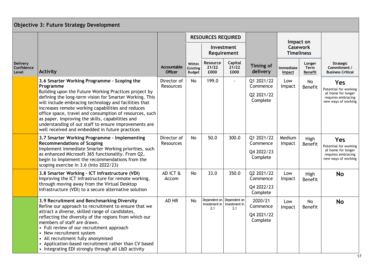|                                        | <b>Objective 3: Future Strategy Development</b>                                                                                                                                                                                                                                                                                                                                                                                                                              |                                 |                                            |                           |                                                   |                                                  |                     |                                                   |                                                                                                 |
|----------------------------------------|------------------------------------------------------------------------------------------------------------------------------------------------------------------------------------------------------------------------------------------------------------------------------------------------------------------------------------------------------------------------------------------------------------------------------------------------------------------------------|---------------------------------|--------------------------------------------|---------------------------|---------------------------------------------------|--------------------------------------------------|---------------------|---------------------------------------------------|-------------------------------------------------------------------------------------------------|
|                                        |                                                                                                                                                                                                                                                                                                                                                                                                                                                                              |                                 |                                            | <b>RESOURCES REQUIRED</b> |                                                   |                                                  |                     |                                                   |                                                                                                 |
|                                        |                                                                                                                                                                                                                                                                                                                                                                                                                                                                              |                                 |                                            |                           | Investment<br>Requirement                         |                                                  |                     | Impact on<br><b>Casework</b><br><b>Timeliness</b> |                                                                                                 |
| <b>Delivery</b><br>Confidence<br>Level | <b>Activity</b>                                                                                                                                                                                                                                                                                                                                                                                                                                                              | Accountable<br><b>Officer</b>   | Within<br><b>Existing</b><br><b>Budget</b> | Resource<br>21/22<br>£000 | Capital<br>21/22<br>£000                          | <b>Timing of</b><br>delivery                     | Immediate<br>Impact | Longer<br>Term<br><b>Benefit</b>                  | Strategic<br>Commitment /<br><b>Business Critical</b>                                           |
|                                        | 3.6 Smarter Working Programme - Scoping the<br>Programme                                                                                                                                                                                                                                                                                                                                                                                                                     | Director of<br><b>Resources</b> | No                                         | 199.0                     |                                                   | Q1 2021/22<br>Commence                           | Low<br>Impact       | No<br>Benefit                                     | Yes<br>Potential for working                                                                    |
|                                        | Building upon the Future Working Practices project by<br>defining the long-term vision for Smarter Working. This<br>will include embracing technology and facilities that<br>increases remote working capabilities and reduces<br>office space, travel and consumption of resources, such<br>as paper. Improving the skills, capabilities and<br>understanding of our staff to ensure improvements are<br>well received and embedded in future practices                     |                                 |                                            |                           |                                                   | Q2 2021/22<br>Complete                           |                     |                                                   | at home for longer<br>requires embracing<br>new ways of working                                 |
|                                        | 3.7 Smarter Working Programme - Implementing<br><b>Recommendations of Scoping</b><br>Implement immediate Smarter Working priorities, such<br>as enhanced Microsoft 365 functionality. From Q2,<br>begin to implement the recommendations from the<br>scoping exercise in 3.6 (into 2022/23)                                                                                                                                                                                  | Director of<br>Resources        | No                                         | 50.0                      | 300.0                                             | Q1 2021/22<br>Commence<br>Q4 2022/23<br>Complete | Medium<br>Impact    | High<br>Benefit                                   | Yes<br>Potential for working<br>at home for longer<br>requires embracing<br>new ways of working |
|                                        | 3.8 Smarter Working - ICT Infrastructure (VDI)<br>Improving the ICT infrastructure for remote working,<br>through moving away from the Virtual Desktop<br>Infrastructure (VDI) to a secure alternative solution                                                                                                                                                                                                                                                              | AD ICT &<br>Accom               | No                                         | 33.0                      | 350.0                                             | Q2 2021/22<br>Commence<br>Q4 2022/23<br>Complete | Low<br>Impact       | High<br>Benefit                                   | <b>No</b>                                                                                       |
|                                        | 3.9 Recruitment and Benchmarking Diversity<br>Refine our approach to recruitment to ensure that we<br>attract a diverse, skilled range of candidates,<br>reflecting the diversity of the regions from which our<br>members of staff are drawn.<br>• Full review of our recruitment approach<br>• New recruitment system<br>• All recruitment fully anonymised<br>• Application-based recruitment rather than CV based<br>• Integrating EDI strongly through all L&D activity | AD HR                           | No                                         | investment in<br>2.1      | Dependent on Dependent on<br>investment in<br>2.1 | 2020/21<br>Commence<br>Q4 2021/22<br>Complete    | Low<br>Impact       | No<br>Benefit                                     | <b>No</b>                                                                                       |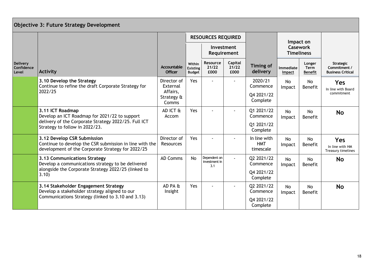|                                               | Objective 3: Future Strategy Development                                                                                                    |                                 |                                            |                                      |                           |                                         |                     |                                      |                                                       |
|-----------------------------------------------|---------------------------------------------------------------------------------------------------------------------------------------------|---------------------------------|--------------------------------------------|--------------------------------------|---------------------------|-----------------------------------------|---------------------|--------------------------------------|-------------------------------------------------------|
|                                               |                                                                                                                                             |                                 |                                            | <b>RESOURCES REQUIRED</b>            |                           |                                         |                     | Impact on                            |                                                       |
|                                               |                                                                                                                                             |                                 |                                            |                                      | Investment<br>Requirement |                                         |                     | <b>Casework</b><br><b>Timeliness</b> |                                                       |
| <b>Delivery</b><br><b>Confidence</b><br>Level | <b>Activity</b>                                                                                                                             | Accountable<br><b>Officer</b>   | Within<br><b>Existing</b><br><b>Budget</b> | Resource<br>21/22<br>£000            | Capital<br>21/22<br>£000  | <b>Timing of</b><br>delivery            | Immediate<br>Impact | Longer<br>Term<br><b>Benefit</b>     | Strategic<br>Commitment /<br><b>Business Critical</b> |
|                                               | 3.10 Develop the Strategy<br>Continue to refine the draft Corporate Strategy for                                                            | Director of<br>External         | Yes                                        | $\overline{a}$                       |                           | 2020/21<br>Commence                     | No<br>Impact        | No<br>Benefit                        | Yes<br>In line with Board                             |
|                                               | 2022/25                                                                                                                                     | Affairs,<br>Strategy &<br>Comms |                                            |                                      |                           | Q4 2021/22<br>Complete                  |                     |                                      | commitment                                            |
|                                               | 3.11 ICT Roadmap<br>Develop an ICT Roadmap for 2021/22 to support                                                                           | AD ICT &<br>Accom               | Yes                                        |                                      |                           | Q1 2021/22<br>Commence                  | No<br>Impact        | No<br><b>Benefit</b>                 | <b>No</b>                                             |
|                                               | delivery of the Corporate Strategy 2022/25. Full ICT<br>Strategy to follow in 2022/23.                                                      |                                 |                                            |                                      |                           | Q1 2021/22<br>Complete                  |                     |                                      |                                                       |
|                                               | 3.12 Develop CSR Submission<br>Continue to develop the CSR submission in line with the<br>development of the Corporate Strategy for 2022/25 | Director of<br><b>Resources</b> | Yes                                        |                                      |                           | In line with<br><b>HMT</b><br>timescale | <b>No</b><br>Impact | <b>No</b><br>Benefit                 | Yes<br>In line with HM<br>Treasury timelines          |
|                                               | 3.13 Communications Strategy<br>Develop a communications strategy to be delivered                                                           | <b>AD Comms</b>                 | <b>No</b>                                  | Dependent on<br>investment in<br>3.1 | $\overline{a}$            | Q2 2021/22<br>Commence                  | No<br>Impact        | No<br>Benefit                        | <b>No</b>                                             |
|                                               | alongside the Corporate Strategy 2022/25 (linked to<br>3.10)                                                                                |                                 |                                            |                                      |                           | Q4 2021/22<br>Complete                  |                     |                                      |                                                       |
|                                               | 3.14 Stakeholder Engagement Strategy<br>Develop a stakeholder strategy aligned to our                                                       | AD PA &<br>Insight              | Yes                                        |                                      |                           | Q2 2021/22<br>Commence                  | No<br>Impact        | <b>No</b><br>Benefit                 | <b>No</b>                                             |
|                                               | Communications Strategy (linked to 3.10 and 3.13)                                                                                           |                                 |                                            |                                      |                           | Q4 2021/22<br>Complete                  |                     |                                      |                                                       |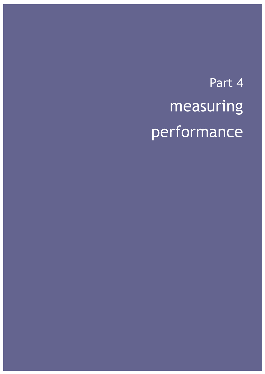# Part 4 measuring performance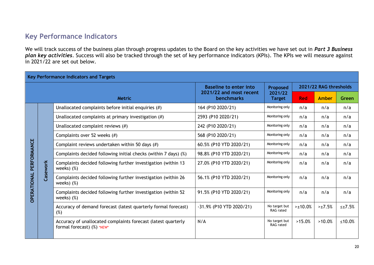### **Key Performance Indicators**

We will track success of the business plan through progress updates to the Board on the key activities we have set out in *Part 3 Business plan key activities*. Success will also be tracked through the set of key performance indicators (KPIs). The KPIs we will measure against in 2021/22 are set out below.

|                    | <b>Key Performance Indicators and Targets</b> |                                                                                             |                                              |                            |            |                        |                  |  |  |
|--------------------|-----------------------------------------------|---------------------------------------------------------------------------------------------|----------------------------------------------|----------------------------|------------|------------------------|------------------|--|--|
|                    |                                               |                                                                                             | <b>Baseline to enter into</b>                | Proposed                   |            | 2021/22 RAG thresholds |                  |  |  |
|                    |                                               | <b>Metric</b>                                                                               | 2021/22 and most recent<br><b>benchmarks</b> | 2021/22<br><b>Target</b>   | <b>Red</b> | <b>Amber</b>           | Green            |  |  |
|                    |                                               | Unallocated complaints before initial enquiries $(\#)$                                      | 164 (P10 2020/21)                            | Monitoring only            | n/a        | n/a                    | n/a              |  |  |
|                    |                                               | Unallocated complaints at primary investigation $(\#)$                                      | 2593 (P10 2020/21)                           | Monitoring only            | n/a        | n/a                    | n/a              |  |  |
|                    |                                               | Unallocated complaint reviews $(\#)$                                                        | 242 (P10 2020/21)                            | Monitoring only            | n/a        | n/a                    | n/a              |  |  |
|                    |                                               | Complaints over 52 weeks (#)                                                                | 568 (P10 2020/21)                            | Monitoring only            | n/a        | n/a                    | n/a              |  |  |
| PERFORMANCE        |                                               | Complaint reviews undertaken within 50 days $(\#)$                                          | 60.5% (P10 YTD 2020/21)                      | Monitoring only            | n/a        | n/a                    | n/a              |  |  |
|                    |                                               | Complaints decided following initial checks (within 7 days) (%)                             | 98.8% (P10 YTD 2020/21)                      | Monitoring only            | n/a        | n/a                    | n/a              |  |  |
|                    | Casework                                      | Complaints decided following further investigation (within 13<br>weeks $)$ (%)              | 27.0% (P10 YTD 2020/21)                      | Monitoring only            | n/a        | n/a                    | n/a              |  |  |
|                    |                                               | Complaints decided following further investigation (within 26<br>weeks $)$ $%$              | 56.1% (P10 YTD 2020/21)                      | Monitoring only            | n/a        | n/a                    | n/a              |  |  |
| <b>OPERATIONAL</b> |                                               | Complaints decided following further investigation (within 52<br>weeks $)$ $%$              | 91.5% (P10 YTD 2020/21)                      | Monitoring only            | n/a        | n/a                    | n/a              |  |  |
|                    |                                               | Accuracy of demand forecast (latest quarterly formal forecast)<br>(%)                       | -31.9% (P10 YTD 2020/21)                     | No target but<br>RAG rated | $>10.0\%$  | >17.5%                 | $\leq \pm 7.5\%$ |  |  |
|                    |                                               | Accuracy of unallocated complaints forecast (latest quarterly<br>formal forecast) (%) *NEW* | N/A                                          | No target but<br>RAG rated | >15.0%     | $>10.0\%$              | ≤10.0%           |  |  |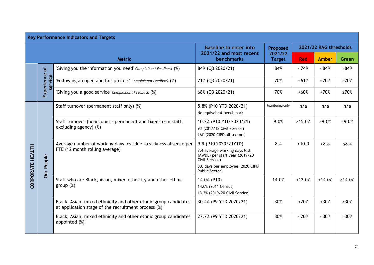|                  | <b>Key Performance Indicators and Targets</b> |                                                                                                                        |                                                                                                                                                                 |                          |                        |              |             |  |  |
|------------------|-----------------------------------------------|------------------------------------------------------------------------------------------------------------------------|-----------------------------------------------------------------------------------------------------------------------------------------------------------------|--------------------------|------------------------|--------------|-------------|--|--|
|                  |                                               |                                                                                                                        | <b>Baseline to enter into</b>                                                                                                                                   | Proposed                 | 2021/22 RAG thresholds |              |             |  |  |
|                  |                                               | <b>Metric</b>                                                                                                          | 2021/22 and most recent<br><b>benchmarks</b>                                                                                                                    | 2021/22<br><b>Target</b> | <b>Red</b>             | <b>Amber</b> | Green       |  |  |
|                  | ৳                                             | 'Giving you the information you need' Complainant Feedback (%)                                                         | 84% (Q3 2020/21)                                                                                                                                                | 84%                      | <74%                   | &84%         | ≥84%        |  |  |
|                  | Experience<br>service                         | 'Following an open and fair process' Complainant Feedback (%)                                                          | 71% (Q3 2020/21)                                                                                                                                                | 70%                      | $~51\%$                | ~570%        | $\geq 70\%$ |  |  |
|                  |                                               | 'Giving you a good service' Complainant Feedback (%)                                                                   | 68% (Q3 2020/21)                                                                                                                                                | 70%                      | $~50\%$                | $~5$ 70%     | $\geq 70\%$ |  |  |
|                  |                                               | Staff turnover (permanent staff only) (%)                                                                              | 5.8% (P10 YTD 2020/21)<br>No equivalent benchmark                                                                                                               | Monitoring only          | n/a                    | n/a          | n/a         |  |  |
| CORPORATE HEALTH |                                               | Staff turnover (headcount - permanent and fixed-term staff,<br>excluding agency) $(\%)$                                | 10.2% (P10 YTD 2020/21)<br>9% (2017/18 Civil Service)<br>16% (2020 CIPD all sectors)                                                                            | 9.0%                     | >15.0%                 | >9.0%        | ≤9.0%       |  |  |
|                  | Our People                                    | Average number of working days lost due to sickness absence per<br>FTE (12 month rolling average)                      | 9.9 (P10 2020/21YTD)<br>7.4 average working days lost<br>(AWDL) per staff year (2019/20<br>Civil Service)<br>8.0 days per employee (2020 CIPD<br>Public Sector) | 8.4                      | >10.0                  | >8.4         | $≤8.4$      |  |  |
|                  |                                               | Staff who are Black, Asian, mixed ethnicity and other ethnic<br>group $(\%)$                                           | 14.0% (P10)<br>14.0% (2011 Census)<br>13.2% (2019/20 Civil Service)                                                                                             | 14.0%                    | <12.0%                 | ~14.0%       | ≥14.0%      |  |  |
|                  |                                               | Black, Asian, mixed ethnicity and other ethnic group candidates<br>at application stage of the recruitment process (%) | 30.4% (P9 YTD 2020/21)                                                                                                                                          | 30%                      | $~120\%$               | $~30\%$      | $\geq$ 30%  |  |  |
|                  |                                               | Black, Asian, mixed ethnicity and other ethnic group candidates<br>appointed (%)                                       | 27.7% (P9 YTD 2020/21)                                                                                                                                          | 30%                      | ~120%                  | $~130\%$     | $\geq$ 30%  |  |  |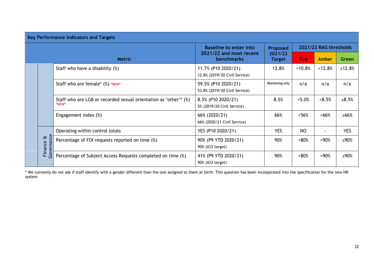|                            | <b>Key Performance Indicators and Targets</b>   |                                                                  |                                                      |                          |                        |                |              |  |  |
|----------------------------|-------------------------------------------------|------------------------------------------------------------------|------------------------------------------------------|--------------------------|------------------------|----------------|--------------|--|--|
|                            |                                                 |                                                                  | <b>Baseline to enter into</b>                        | <b>Proposed</b>          | 2021/22 RAG thresholds |                |              |  |  |
|                            |                                                 | <b>Metric</b>                                                    | 2021/22 and most recent<br><b>benchmarks</b>         | 2021/22<br><b>Target</b> |                        | Amber          | Green        |  |  |
|                            |                                                 | Staff who have a disability (%)                                  | 11.7% (P10 2020/21)<br>12.8% (2019/20 Civil Service) | 12.8%                    | $<10.8\%$              | < 12.8%        | $\ge 12.8\%$ |  |  |
|                            |                                                 | Staff who are female* (%) *NEW*                                  | 59.5% (P10 2020/21)<br>53.8% (2019/20 Civil Service) | Monitoring only          | n/a                    | n/a            | n/a          |  |  |
|                            | *NEW*                                           | Staff who are LGB or recorded sexual orientation as 'other'* (%) | 8.5% (P10 2020/21)<br>5% (2019/20 Civil Service)     | 8.5%                     | < 5.0%                 | &5%            | $\ge 8.5\%$  |  |  |
|                            |                                                 | Engagement index (%)                                             | 66% (2020/21)<br>66% (2020/21 Civil Service)         | 66%                      | < 56%                  | <66%           | ≥66%         |  |  |
|                            |                                                 | Operating within control totals                                  | YES (P10 2020/21)                                    | <b>YES</b>               | NO                     | $\blacksquare$ | <b>YES</b>   |  |  |
| Governance<br>Œ<br>Finance | Percentage of FOI requests reported on time (%) | 90% (P9 YTD 2020/21)<br>90% (ICO target)                         | 90%                                                  | $&50\%$                  | $<90\%$                | ≥90%           |              |  |  |
|                            |                                                 | Percentage of Subject Access Requests completed on time (%)      | 41% (P9 YTD 2020/21)<br>90% (ICO target)             | 90%                      | $&50\%$                | $<90\%$        | ≥90%         |  |  |

\* We currently do not ask if staff identify with a gender different than the one assigned to them at birth. This question has been incorporated into the specification for the new HR system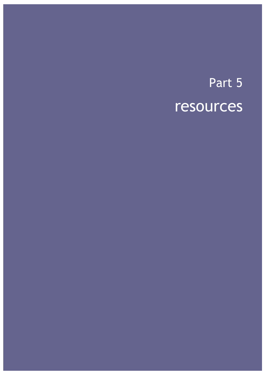## Part 5 resources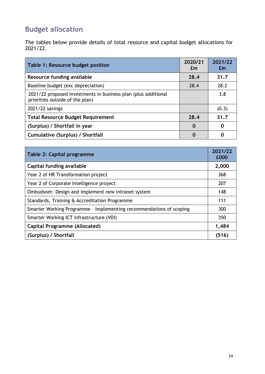## **Budget allocation**

The tables below provide details of total resource and capital budget allocations for 2021/22.

| Table 1: Resource budget position                                                                 | 2020/21<br>£m | 2021/22<br><b>Em</b> |
|---------------------------------------------------------------------------------------------------|---------------|----------------------|
| Resource funding available                                                                        | 28.4          | 31.7                 |
| Baseline budget (exc depreciation)                                                                | 28.4          | 28.2                 |
| 2021/22 proposed investments in business plan (plus additional<br>priorities outside of the plan) |               | 3.8                  |
| 2021/22 savings                                                                                   |               | (0.3)                |
| <b>Total Resource Budget Requirement</b>                                                          | 28.4          | 31.7                 |
| (Surplus) / Shortfall in year                                                                     | 0             | 0                    |
| <b>Cumulative (Surplus) / Shortfall</b>                                                           | 0             | O                    |

| Table 2: Capital programme                                          |       |  |
|---------------------------------------------------------------------|-------|--|
| Capital funding available                                           | 2,000 |  |
| Year 2 of HR Transformation project                                 | 368   |  |
| Year 2 of Corporate Intelligence project                            | 207   |  |
| Ombudsnet - Design and implement new intranet system                |       |  |
| Standards, Training & Accreditation Programme                       |       |  |
| Smarter Working Programme - Implementing recommendations of scoping |       |  |
| Smarter Working ICT infrastructure (VDI)                            |       |  |
| <b>Capital Programme (Allocated)</b>                                |       |  |
| (Surplus) / Shortfall                                               | (516) |  |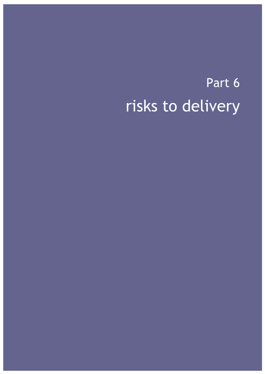## Risk to delivery Part 6 risks to delivery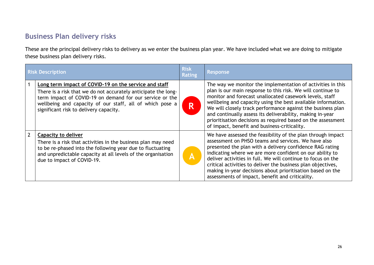## **Business Plan delivery risks**

These are the principal delivery risks to delivery as we enter the business plan year. We have included what we are doing to mitigate these business plan delivery risks.

| <b>Risk Description</b> |                                                                                                                                                                                                                                                                                           | <b>Risk</b><br><b>Rating</b> | <b>Response</b>                                                                                                                                                                                                                                                                                                                                                                                                                                                                                   |
|-------------------------|-------------------------------------------------------------------------------------------------------------------------------------------------------------------------------------------------------------------------------------------------------------------------------------------|------------------------------|---------------------------------------------------------------------------------------------------------------------------------------------------------------------------------------------------------------------------------------------------------------------------------------------------------------------------------------------------------------------------------------------------------------------------------------------------------------------------------------------------|
|                         | Long term impact of COVID-19 on the service and staff<br>There is a risk that we do not accurately anticipate the long-<br>term impact of COVID-19 on demand for our service or the<br>wellbeing and capacity of our staff, all of which pose a<br>significant risk to delivery capacity. | R                            | The way we monitor the implementation of activities in this<br>plan is our main response to this risk. We will continue to<br>monitor and forecast unallocated casework levels, staff<br>wellbeing and capacity using the best available information.<br>We will closely track performance against the business plan<br>and continually assess its deliverability, making in-year<br>prioritisation decisions as required based on the assessment<br>of impact, benefit and business-criticality. |
|                         | <b>Capacity to deliver</b><br>There is a risk that activities in the business plan may need<br>to be re-phased into the following year due to fluctuating<br>and unpredictable capacity at all levels of the organisation<br>due to impact of COVID-19.                                   | $ \mathbf{A} $               | We have assessed the feasibility of the plan through impact<br>assessment on PHSO teams and services. We have also<br>presented the plan with a delivery confidence RAG rating<br>indicating where we are more confident on our ability to<br>deliver activities in full. We will continue to focus on the<br>critical activities to deliver the business plan objectives,<br>making in-year decisions about prioritisation based on the<br>assessments of impact, benefit and criticality.       |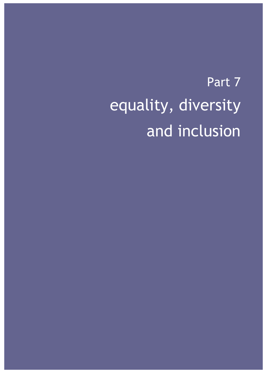# Part 7 equality, diversity and inclusion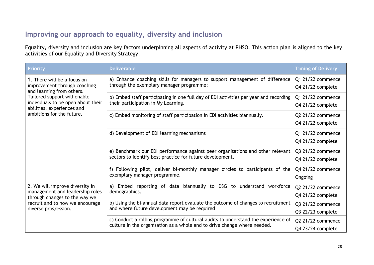## **Improving our approach to equality, diversity and inclusion**

Equality, diversity and inclusion are key factors underpinning all aspects of activity at PHSO. This action plan is aligned to the key activities of our Equality and Diversity Strategy.

| <b>Priority</b>                                                                                     | <b>Deliverable</b>                                                                                                                                            | <b>Timing of Delivery</b>              |
|-----------------------------------------------------------------------------------------------------|---------------------------------------------------------------------------------------------------------------------------------------------------------------|----------------------------------------|
| 1. There will be a focus on<br>improvement through coaching<br>and learning from others.            | a) Enhance coaching skills for managers to support management of difference<br>through the exemplary manager programme;                                       | Q1 21/22 commence<br>Q4 21/22 complete |
| Tailored support will enable<br>individuals to be open about their<br>abilities, experiences and    | b) Embed staff participating in one full day of EDI activities per year and recording<br>their participation in My Learning.                                  | Q1 21/22 commence<br>Q4 21/22 complete |
| ambitions for the future.                                                                           | c) Embed monitoring of staff participation in EDI activities biannually.                                                                                      | Q2 21/22 commence<br>Q4 21/22 complete |
|                                                                                                     | d) Development of EDI learning mechanisms                                                                                                                     | Q1 21/22 commence<br>Q4 21/22 complete |
|                                                                                                     | e) Benchmark our EDI performance against peer organisations and other relevant<br>sectors to identify best practice for future development.                   | Q3 21/22 commence<br>Q4 21/22 complete |
|                                                                                                     | f) Following pilot, deliver bi-monthly manager circles to participants of the<br>exemplary manager programme.                                                 | Q4 21/22 commence<br>Ongoing           |
| 2. We will improve diversity in<br>management and leadership roles<br>through changes to the way we | a) Embed reporting of data biannually to DSG to understand workforce<br>demographics.                                                                         | Q2 21/22 commence<br>Q4 21/22 complete |
| recruit and to how we encourage<br>diverse progression.                                             | b) Using the bi-annual data report evaluate the outcome of changes to recruitment<br>and where future development may be required                             | Q3 21/22 commence<br>Q3 22/23 complete |
|                                                                                                     | c) Conduct a rolling programme of cultural audits to understand the experience of<br>culture in the organisation as a whole and to drive change where needed. | Q2 21/22 commence<br>Q4 23/24 complete |